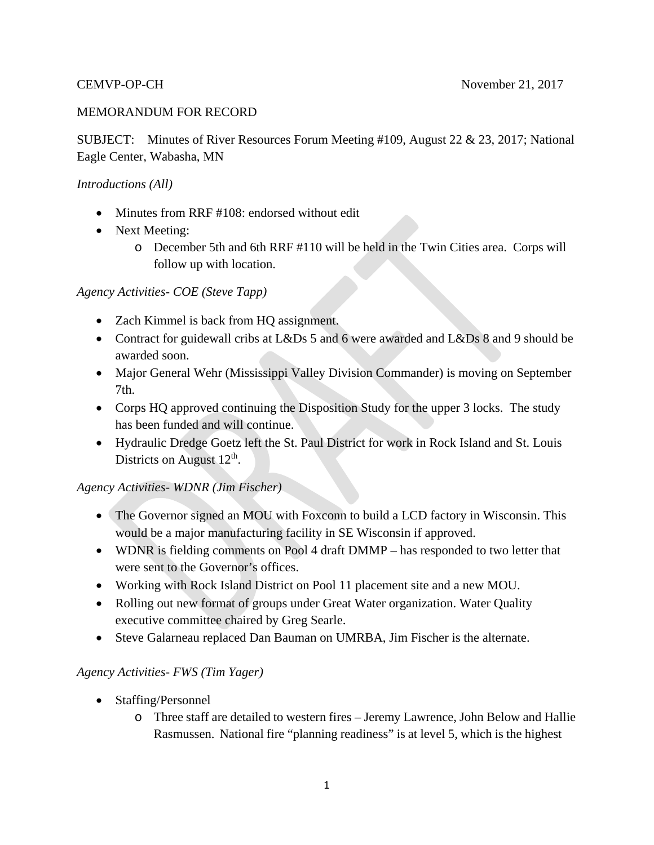#### MEMORANDUM FOR RECORD

SUBJECT: Minutes of River Resources Forum Meeting #109, August 22 & 23, 2017; National Eagle Center, Wabasha, MN

#### *Introductions (All)*

- Minutes from RRF #108: endorsed without edit
- Next Meeting:
	- o December 5th and 6th RRF #110 will be held in the Twin Cities area. Corps will follow up with location.

#### *Agency Activities- COE (Steve Tapp)*

- Zach Kimmel is back from HQ assignment.
- Contract for guidewall cribs at L&Ds 5 and 6 were awarded and L&Ds 8 and 9 should be awarded soon.
- Major General Wehr (Mississippi Valley Division Commander) is moving on September 7th.
- Corps HQ approved continuing the Disposition Study for the upper 3 locks. The study has been funded and will continue.
- Hydraulic Dredge Goetz left the St. Paul District for work in Rock Island and St. Louis Districts on August 12<sup>th</sup>.

#### *Agency Activities- WDNR (Jim Fischer)*

- The Governor signed an MOU with Foxconn to build a LCD factory in Wisconsin. This would be a major manufacturing facility in SE Wisconsin if approved.
- WDNR is fielding comments on Pool 4 draft DMMP has responded to two letter that were sent to the Governor's offices.
- Working with Rock Island District on Pool 11 placement site and a new MOU.
- Rolling out new format of groups under Great Water organization. Water Quality executive committee chaired by Greg Searle.
- Steve Galarneau replaced Dan Bauman on UMRBA, Jim Fischer is the alternate.

#### *Agency Activities- FWS (Tim Yager)*

- Staffing/Personnel
	- o Three staff are detailed to western fires Jeremy Lawrence, John Below and Hallie Rasmussen. National fire "planning readiness" is at level 5, which is the highest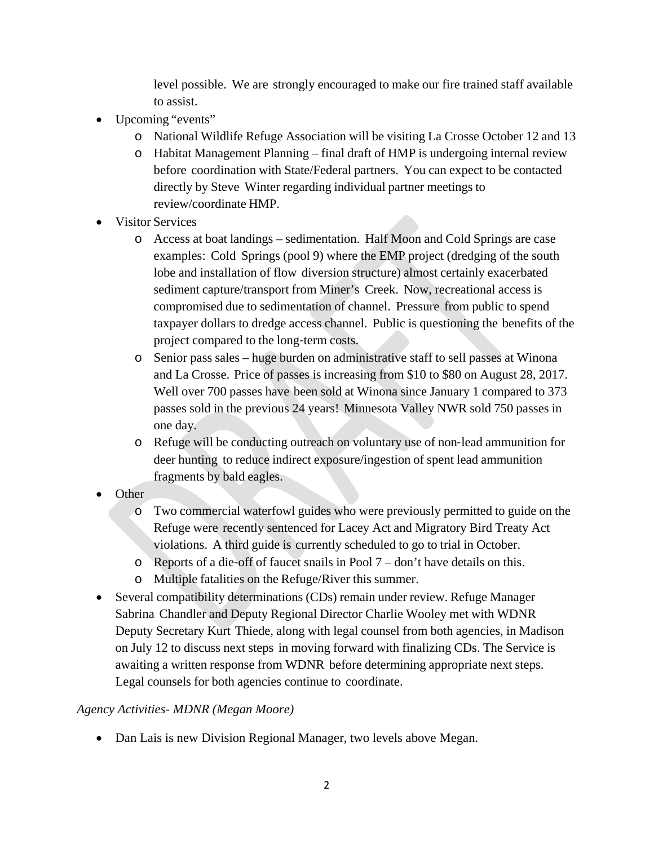level possible. We are strongly encouraged to make our fire trained staff available to assist.

- Upcoming "events"
	- o National Wildlife Refuge Association will be visiting La Crosse October 12 and 13
	- o Habitat Management Planning final draft of HMP is undergoing internal review before coordination with State/Federal partners. You can expect to be contacted directly by Steve Winter regarding individual partner meetings to review/coordinate HMP.
- Visitor Services
	- o Access at boat landings sedimentation. Half Moon and Cold Springs are case examples: Cold Springs (pool 9) where the EMP project (dredging of the south lobe and installation of flow diversion structure) almost certainly exacerbated sediment capture/transport from Miner's Creek. Now, recreational access is compromised due to sedimentation of channel. Pressure from public to spend taxpayer dollars to dredge access channel. Public is questioning the benefits of the project compared to the long‐term costs.
	- o Senior pass sales huge burden on administrative staff to sell passes at Winona and La Crosse. Price of passes is increasing from \$10 to \$80 on August 28, 2017. Well over 700 passes have been sold at Winona since January 1 compared to 373 passes sold in the previous 24 years! Minnesota Valley NWR sold 750 passes in one day.
	- o Refuge will be conducting outreach on voluntary use of non‐lead ammunition for deer hunting to reduce indirect exposure/ingestion of spent lead ammunition fragments by bald eagles.
- Other
	- o Two commercial waterfowl guides who were previously permitted to guide on the Refuge were recently sentenced for Lacey Act and Migratory Bird Treaty Act violations. A third guide is currently scheduled to go to trial in October.
	- o Reports of a die‐off of faucet snails in Pool 7 don't have details on this.
	- o Multiple fatalities on the Refuge/River this summer.
- Several compatibility determinations (CDs) remain under review. Refuge Manager Sabrina Chandler and Deputy Regional Director Charlie Wooley met with WDNR Deputy Secretary Kurt Thiede, along with legal counsel from both agencies, in Madison on July 12 to discuss next steps in moving forward with finalizing CDs. The Service is awaiting a written response from WDNR before determining appropriate next steps. Legal counsels for both agencies continue to coordinate.

#### *Agency Activities- MDNR (Megan Moore)*

• Dan Lais is new Division Regional Manager, two levels above Megan.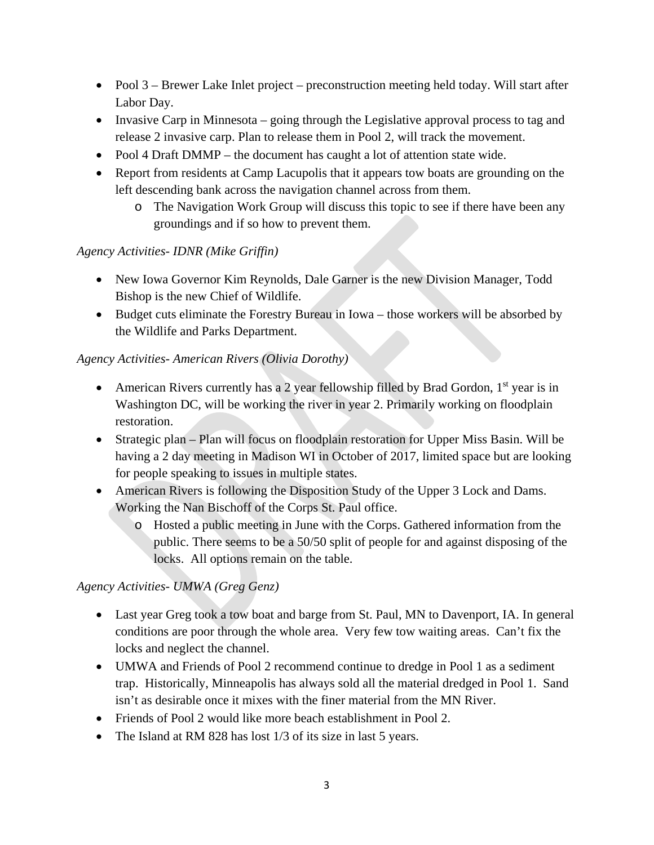- Pool 3 Brewer Lake Inlet project preconstruction meeting held today. Will start after Labor Day.
- Invasive Carp in Minnesota going through the Legislative approval process to tag and release 2 invasive carp. Plan to release them in Pool 2, will track the movement.
- Pool 4 Draft DMMP the document has caught a lot of attention state wide.
- Report from residents at Camp Lacupolis that it appears tow boats are grounding on the left descending bank across the navigation channel across from them.
	- o The Navigation Work Group will discuss this topic to see if there have been any groundings and if so how to prevent them.

# *Agency Activities- IDNR (Mike Griffin)*

- New Iowa Governor Kim Reynolds, Dale Garner is the new Division Manager, Todd Bishop is the new Chief of Wildlife.
- Budget cuts eliminate the Forestry Bureau in Iowa those workers will be absorbed by the Wildlife and Parks Department.

## *Agency Activities- American Rivers (Olivia Dorothy)*

- American Rivers currently has a 2 year fellowship filled by Brad Gordon,  $1<sup>st</sup>$  year is in Washington DC, will be working the river in year 2. Primarily working on floodplain restoration.
- Strategic plan Plan will focus on floodplain restoration for Upper Miss Basin. Will be having a 2 day meeting in Madison WI in October of 2017, limited space but are looking for people speaking to issues in multiple states.
- American Rivers is following the Disposition Study of the Upper 3 Lock and Dams. Working the Nan Bischoff of the Corps St. Paul office.
	- o Hosted a public meeting in June with the Corps. Gathered information from the public. There seems to be a 50/50 split of people for and against disposing of the locks. All options remain on the table.

# *Agency Activities- UMWA (Greg Genz)*

- Last year Greg took a tow boat and barge from St. Paul, MN to Davenport, IA. In general conditions are poor through the whole area. Very few tow waiting areas. Can't fix the locks and neglect the channel.
- UMWA and Friends of Pool 2 recommend continue to dredge in Pool 1 as a sediment trap. Historically, Minneapolis has always sold all the material dredged in Pool 1. Sand isn't as desirable once it mixes with the finer material from the MN River.
- Friends of Pool 2 would like more beach establishment in Pool 2.
- The Island at RM 828 has lost 1/3 of its size in last 5 years.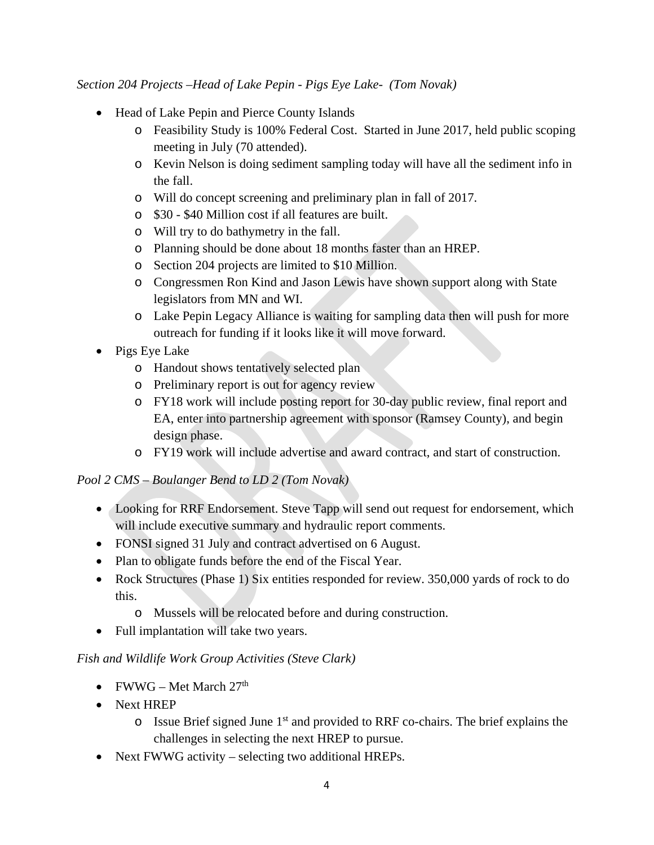*Section 204 Projects –Head of Lake Pepin - Pigs Eye Lake- (Tom Novak)*

- Head of Lake Pepin and Pierce County Islands
	- o Feasibility Study is 100% Federal Cost. Started in June 2017, held public scoping meeting in July (70 attended).
	- o Kevin Nelson is doing sediment sampling today will have all the sediment info in the fall.
	- o Will do concept screening and preliminary plan in fall of 2017.
	- o \$30 \$40 Million cost if all features are built.
	- o Will try to do bathymetry in the fall.
	- o Planning should be done about 18 months faster than an HREP.
	- o Section 204 projects are limited to \$10 Million.
	- o Congressmen Ron Kind and Jason Lewis have shown support along with State legislators from MN and WI.
	- o Lake Pepin Legacy Alliance is waiting for sampling data then will push for more outreach for funding if it looks like it will move forward.
- Pigs Eye Lake
	- o Handout shows tentatively selected plan
	- o Preliminary report is out for agency review
	- o FY18 work will include posting report for 30-day public review, final report and EA, enter into partnership agreement with sponsor (Ramsey County), and begin design phase.
	- o FY19 work will include advertise and award contract, and start of construction.

#### *Pool 2 CMS – Boulanger Bend to LD 2 (Tom Novak)*

- Looking for RRF Endorsement. Steve Tapp will send out request for endorsement, which will include executive summary and hydraulic report comments.
- FONSI signed 31 July and contract advertised on 6 August.
- Plan to obligate funds before the end of the Fiscal Year.
- Rock Structures (Phase 1) Six entities responded for review. 350,000 yards of rock to do this.
	- o Mussels will be relocated before and during construction.
- Full implantation will take two years.

#### *Fish and Wildlife Work Group Activities (Steve Clark)*

- FWWG Met March  $27<sup>th</sup>$
- Next HREP
	- $\circ$  Issue Brief signed June 1<sup>st</sup> and provided to RRF co-chairs. The brief explains the challenges in selecting the next HREP to pursue.
- Next FWWG activity selecting two additional HREPs.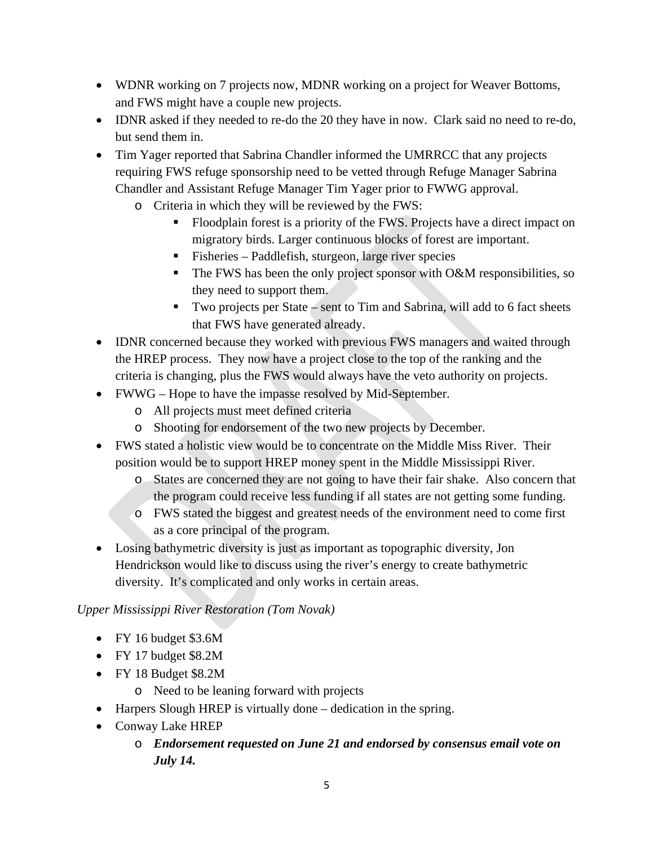- WDNR working on 7 projects now, MDNR working on a project for Weaver Bottoms, and FWS might have a couple new projects.
- IDNR asked if they needed to re-do the 20 they have in now. Clark said no need to re-do, but send them in.
- Tim Yager reported that Sabrina Chandler informed the UMRRCC that any projects requiring FWS refuge sponsorship need to be vetted through Refuge Manager Sabrina Chandler and Assistant Refuge Manager Tim Yager prior to FWWG approval.
	- o Criteria in which they will be reviewed by the FWS:
		- Floodplain forest is a priority of the FWS. Projects have a direct impact on migratory birds. Larger continuous blocks of forest are important.
		- Fisheries Paddlefish, sturgeon, large river species
		- $\blacksquare$  The FWS has been the only project sponsor with O&M responsibilities, so they need to support them.
		- Two projects per State sent to Tim and Sabrina, will add to 6 fact sheets that FWS have generated already.
- IDNR concerned because they worked with previous FWS managers and waited through the HREP process. They now have a project close to the top of the ranking and the criteria is changing, plus the FWS would always have the veto authority on projects.
- FWWG Hope to have the impasse resolved by Mid-September.
	- o All projects must meet defined criteria
	- o Shooting for endorsement of the two new projects by December.
- FWS stated a holistic view would be to concentrate on the Middle Miss River. Their position would be to support HREP money spent in the Middle Mississippi River.
	- o States are concerned they are not going to have their fair shake. Also concern that the program could receive less funding if all states are not getting some funding.
	- o FWS stated the biggest and greatest needs of the environment need to come first as a core principal of the program.
- Losing bathymetric diversity is just as important as topographic diversity, Jon Hendrickson would like to discuss using the river's energy to create bathymetric diversity. It's complicated and only works in certain areas.

# *Upper Mississippi River Restoration (Tom Novak)*

- FY 16 budget \$3.6M
- FY 17 budget \$8.2M
- FY 18 Budget \$8.2M
	- o Need to be leaning forward with projects
- Harpers Slough HREP is virtually done dedication in the spring.
- Conway Lake HREP
	- o *Endorsement requested on June 21 and endorsed by consensus email vote on July 14.*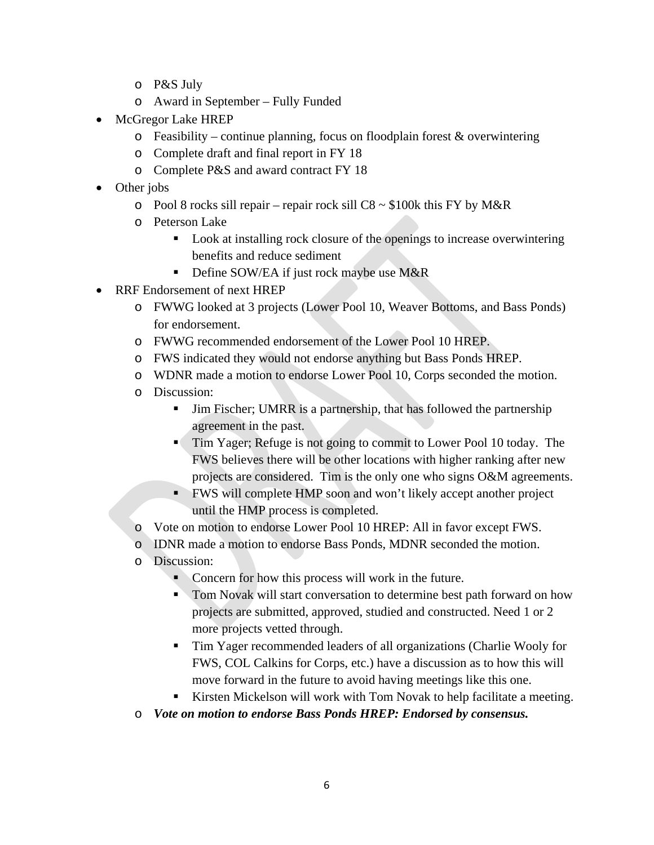- o P&S July
- o Award in September Fully Funded
- McGregor Lake HREP
	- $\circ$  Feasibility continue planning, focus on floodplain forest & overwintering
	- o Complete draft and final report in FY 18
	- o Complete P&S and award contract FY 18
- Other jobs
	- o Pool 8 rocks sill repair repair rock sill  $C8 \sim $100k$  this FY by M&R
	- o Peterson Lake
		- Look at installing rock closure of the openings to increase overwintering benefits and reduce sediment
		- Define SOW/EA if just rock maybe use M&R
- RRF Endorsement of next HREP
	- o FWWG looked at 3 projects (Lower Pool 10, Weaver Bottoms, and Bass Ponds) for endorsement.
	- o FWWG recommended endorsement of the Lower Pool 10 HREP.
	- o FWS indicated they would not endorse anything but Bass Ponds HREP.
	- o WDNR made a motion to endorse Lower Pool 10, Corps seconded the motion.
	- o Discussion:
		- Jim Fischer; UMRR is a partnership, that has followed the partnership agreement in the past.
		- **Tim Yager; Refuge is not going to commit to Lower Pool 10 today. The** FWS believes there will be other locations with higher ranking after new projects are considered. Tim is the only one who signs O&M agreements.
		- FWS will complete HMP soon and won't likely accept another project until the HMP process is completed.
	- o Vote on motion to endorse Lower Pool 10 HREP: All in favor except FWS.
	- o IDNR made a motion to endorse Bass Ponds, MDNR seconded the motion.
	- o Discussion:
		- Concern for how this process will work in the future.
		- Tom Novak will start conversation to determine best path forward on how projects are submitted, approved, studied and constructed. Need 1 or 2 more projects vetted through.
		- Tim Yager recommended leaders of all organizations (Charlie Wooly for FWS, COL Calkins for Corps, etc.) have a discussion as to how this will move forward in the future to avoid having meetings like this one.
		- Kirsten Mickelson will work with Tom Novak to help facilitate a meeting.
	- o *Vote on motion to endorse Bass Ponds HREP: Endorsed by consensus.*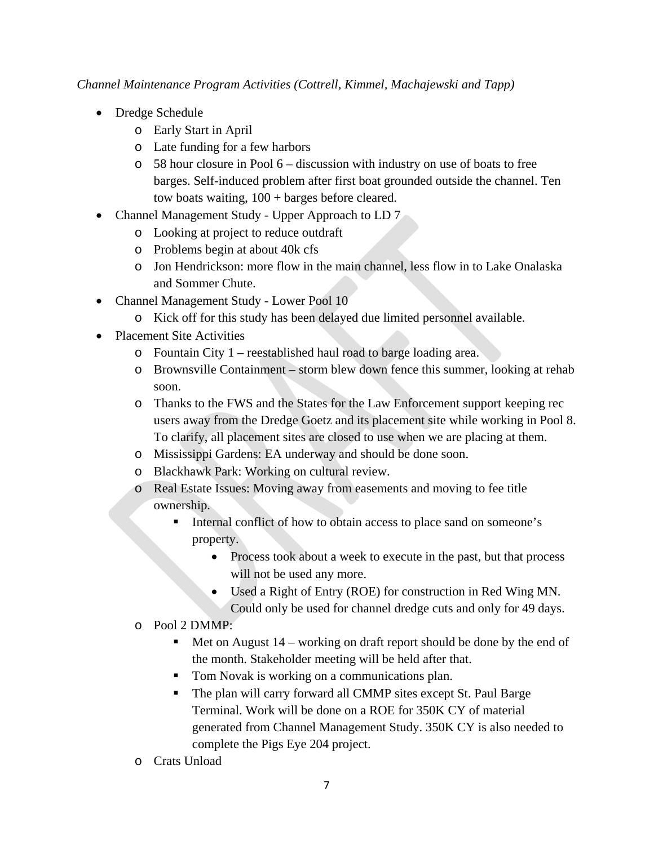*Channel Maintenance Program Activities (Cottrell, Kimmel, Machajewski and Tapp)*

- Dredge Schedule
	- o Early Start in April
	- o Late funding for a few harbors
	- o 58 hour closure in Pool 6 discussion with industry on use of boats to free barges. Self-induced problem after first boat grounded outside the channel. Ten tow boats waiting, 100 + barges before cleared.
- Channel Management Study Upper Approach to LD 7
	- o Looking at project to reduce outdraft
	- o Problems begin at about 40k cfs
	- o Jon Hendrickson: more flow in the main channel, less flow in to Lake Onalaska and Sommer Chute.
- Channel Management Study Lower Pool 10
	- o Kick off for this study has been delayed due limited personnel available.
- Placement Site Activities
	- o Fountain City 1 reestablished haul road to barge loading area.
	- o Brownsville Containment storm blew down fence this summer, looking at rehab soon.
	- o Thanks to the FWS and the States for the Law Enforcement support keeping rec users away from the Dredge Goetz and its placement site while working in Pool 8. To clarify, all placement sites are closed to use when we are placing at them.
	- o Mississippi Gardens: EA underway and should be done soon.
	- o Blackhawk Park: Working on cultural review.
	- o Real Estate Issues: Moving away from easements and moving to fee title ownership.
		- Internal conflict of how to obtain access to place sand on someone's property.
			- Process took about a week to execute in the past, but that process will not be used any more.
			- Used a Right of Entry (ROE) for construction in Red Wing MN. Could only be used for channel dredge cuts and only for 49 days.
	- o Pool 2 DMMP:
		- $\blacksquare$  Met on August 14 working on draft report should be done by the end of the month. Stakeholder meeting will be held after that.
		- **Tom Novak is working on a communications plan.**
		- The plan will carry forward all CMMP sites except St. Paul Barge Terminal. Work will be done on a ROE for 350K CY of material generated from Channel Management Study. 350K CY is also needed to complete the Pigs Eye 204 project.
	- o Crats Unload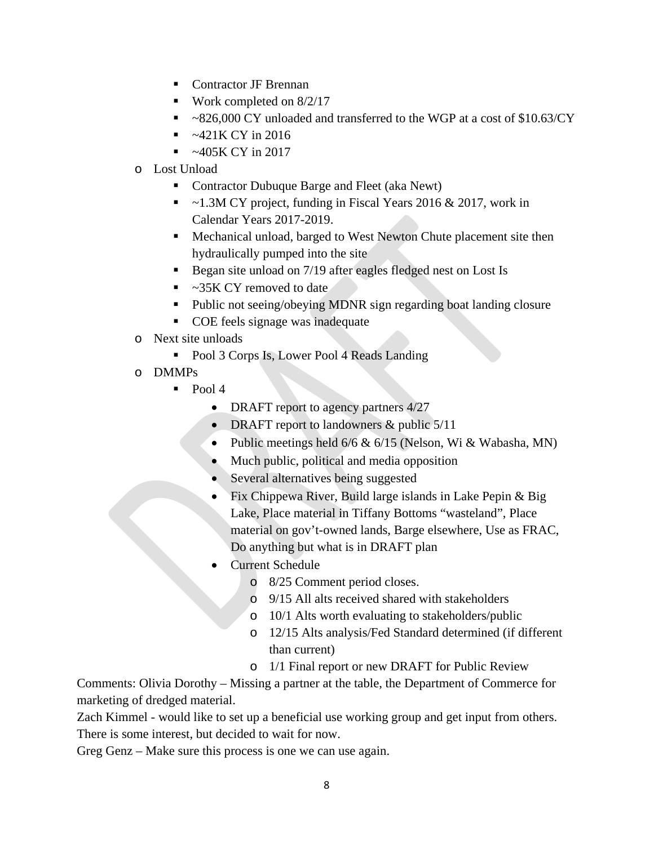- Contractor JF Brennan
- Work completed on  $8/2/17$
- ~826,000 CY unloaded and transferred to the WGP at a cost of \$10.63/CY
- $\sim$  -421K CY in 2016
- $\sim$  -405K CY in 2017
- o Lost Unload
	- Contractor Dubuque Barge and Fleet (aka Newt)
	- ~1.3M CY project, funding in Fiscal Years 2016 & 2017, work in Calendar Years 2017-2019.
	- Mechanical unload, barged to West Newton Chute placement site then hydraulically pumped into the site
	- Began site unload on 7/19 after eagles fledged nest on Lost Is
	- ~35K CY removed to date
	- Public not seeing/obeying MDNR sign regarding boat landing closure
	- **COE** feels signage was inadequate
- o Next site unloads
	- Pool 3 Corps Is, Lower Pool 4 Reads Landing
- o DMMPs
	- $\blacksquare$  Pool 4
		- DRAFT report to agency partners  $4/27$
		- DRAFT report to landowners & public  $5/11$
		- Public meetings held  $6/6 & 6/15$  (Nelson, Wi & Wabasha, MN)
		- Much public, political and media opposition
		- Several alternatives being suggested
		- Fix Chippewa River, Build large islands in Lake Pepin & Big Lake, Place material in Tiffany Bottoms "wasteland", Place material on gov't-owned lands, Barge elsewhere, Use as FRAC, Do anything but what is in DRAFT plan
		- Current Schedule
			- o 8/25 Comment period closes.
			- o 9/15 All alts received shared with stakeholders
			- o 10/1 Alts worth evaluating to stakeholders/public
			- o 12/15 Alts analysis/Fed Standard determined (if different than current)
			- o 1/1 Final report or new DRAFT for Public Review

Comments: Olivia Dorothy – Missing a partner at the table, the Department of Commerce for marketing of dredged material.

Zach Kimmel - would like to set up a beneficial use working group and get input from others. There is some interest, but decided to wait for now.

Greg Genz – Make sure this process is one we can use again.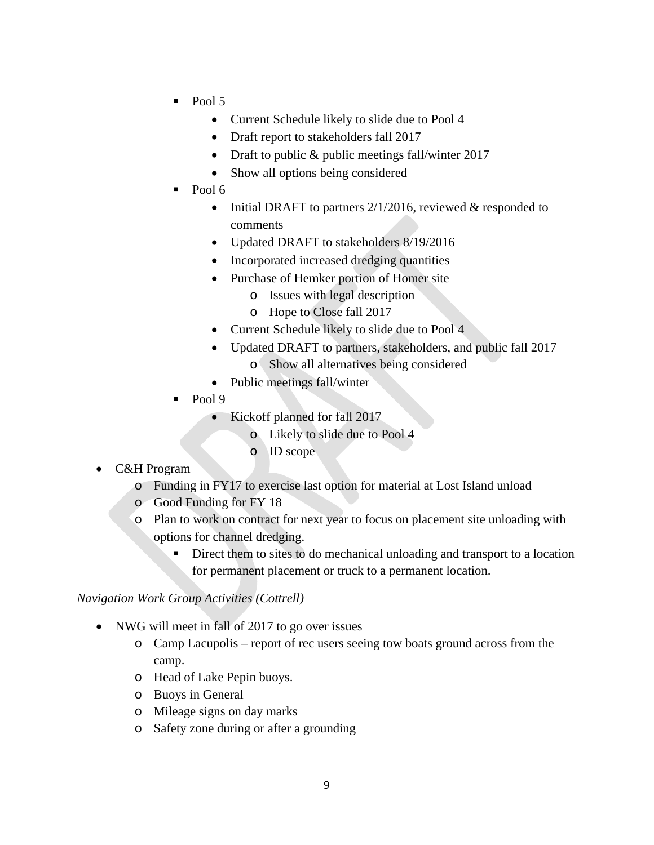- $\blacksquare$  Pool 5
	- Current Schedule likely to slide due to Pool 4
	- Draft report to stakeholders fall 2017
	- Draft to public & public meetings fall/winter 2017
	- Show all options being considered
- Pool 6
	- Initial DRAFT to partners  $2/1/2016$ , reviewed & responded to comments
	- Updated DRAFT to stakeholders 8/19/2016
	- Incorporated increased dredging quantities
	- Purchase of Hemker portion of Homer site
		- o Issues with legal description
		- o Hope to Close fall 2017
	- Current Schedule likely to slide due to Pool 4
	- Updated DRAFT to partners, stakeholders, and public fall 2017
		- o Show all alternatives being considered
	- Public meetings fall/winter
- Pool 9
	- Kickoff planned for fall 2017
		- o Likely to slide due to Pool 4
		- o ID scope
- C&H Program
	- o Funding in FY17 to exercise last option for material at Lost Island unload
	- o Good Funding for FY 18
	- o Plan to work on contract for next year to focus on placement site unloading with options for channel dredging.
		- Direct them to sites to do mechanical unloading and transport to a location for permanent placement or truck to a permanent location.

#### *Navigation Work Group Activities (Cottrell)*

- NWG will meet in fall of 2017 to go over issues
	- o Camp Lacupolis report of rec users seeing tow boats ground across from the camp.
	- o Head of Lake Pepin buoys.
	- o Buoys in General
	- o Mileage signs on day marks
	- o Safety zone during or after a grounding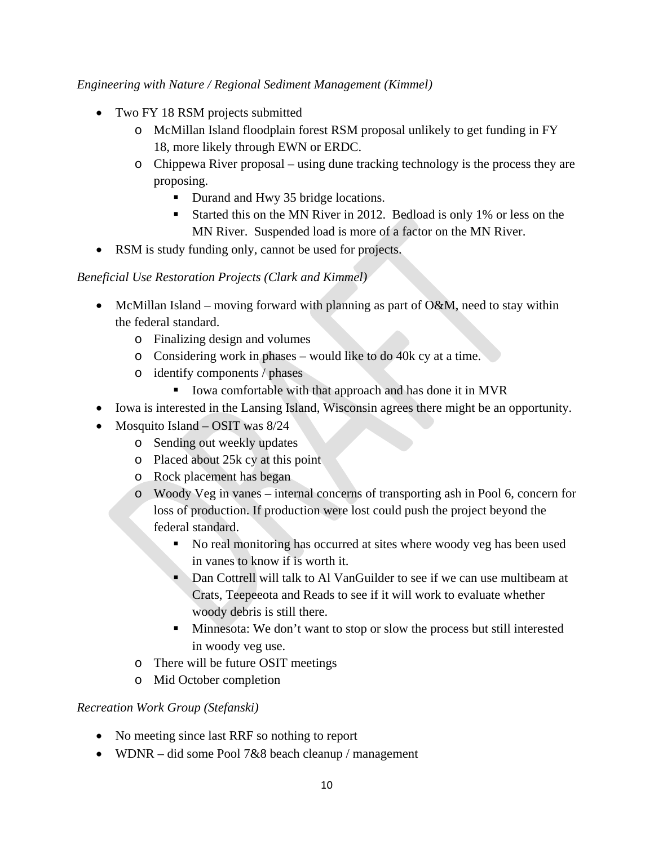### *Engineering with Nature / Regional Sediment Management (Kimmel)*

- Two FY 18 RSM projects submitted
	- o McMillan Island floodplain forest RSM proposal unlikely to get funding in FY 18, more likely through EWN or ERDC.
	- o Chippewa River proposal using dune tracking technology is the process they are proposing.
		- Durand and Hwy 35 bridge locations.
		- Started this on the MN River in 2012. Bedload is only 1% or less on the MN River. Suspended load is more of a factor on the MN River.
- RSM is study funding only, cannot be used for projects.

# *Beneficial Use Restoration Projects (Clark and Kimmel)*

- McMillan Island moving forward with planning as part of  $O\&M$ , need to stay within the federal standard.
	- o Finalizing design and volumes
	- o Considering work in phases would like to do 40k cy at a time.
	- o identify components / phases
		- Iowa comfortable with that approach and has done it in MVR
- Iowa is interested in the Lansing Island, Wisconsin agrees there might be an opportunity.
- Mosquito Island OSIT was 8/24
	- o Sending out weekly updates
	- o Placed about 25k cy at this point
	- o Rock placement has began
	- o Woody Veg in vanes internal concerns of transporting ash in Pool 6, concern for loss of production. If production were lost could push the project beyond the federal standard.
		- No real monitoring has occurred at sites where woody veg has been used in vanes to know if is worth it.
		- Dan Cottrell will talk to Al VanGuilder to see if we can use multibeam at Crats, Teepeeota and Reads to see if it will work to evaluate whether woody debris is still there.
		- Minnesota: We don't want to stop or slow the process but still interested in woody veg use.
	- o There will be future OSIT meetings
	- o Mid October completion

# *Recreation Work Group (Stefanski)*

- No meeting since last RRF so nothing to report
- WDNR did some Pool 7&8 beach cleanup / management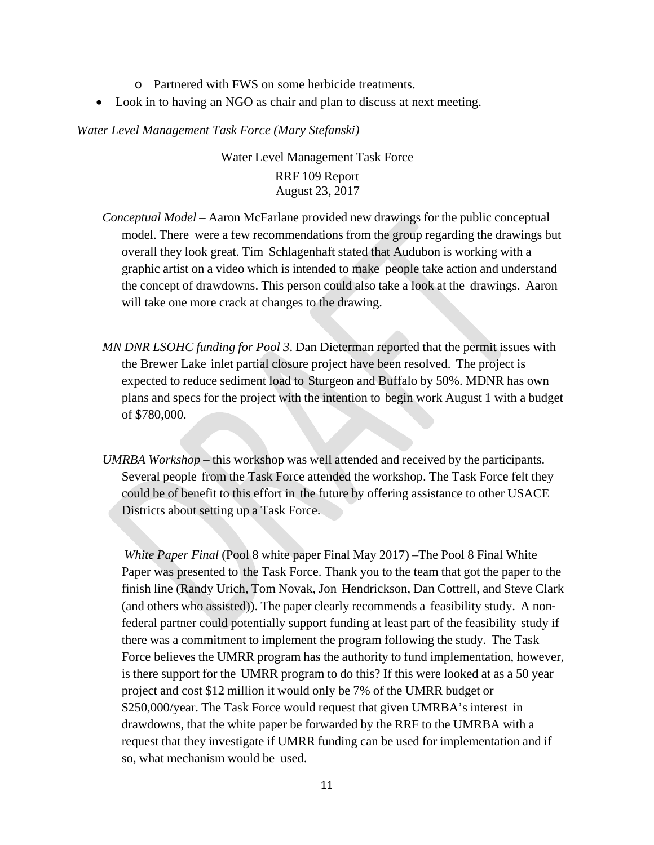- o Partnered with FWS on some herbicide treatments.
- Look in to having an NGO as chair and plan to discuss at next meeting.

*Water Level Management Task Force (Mary Stefanski)*

# Water Level Management Task Force RRF 109 Report August 23, 2017

- *Conceptual Model* Aaron McFarlane provided new drawings for the public conceptual model. There were a few recommendations from the group regarding the drawings but overall they look great. Tim Schlagenhaft stated that Audubon is working with a graphic artist on a video which is intended to make people take action and understand the concept of drawdowns. This person could also take a look at the drawings. Aaron will take one more crack at changes to the drawing.
- *MN DNR LSOHC funding for Pool 3*. Dan Dieterman reported that the permit issues with the Brewer Lake inlet partial closure project have been resolved. The project is expected to reduce sediment load to Sturgeon and Buffalo by 50%. MDNR has own plans and specs for the project with the intention to begin work August 1 with a budget of \$780,000.
- *UMRBA Workshop –* this workshop was well attended and received by the participants. Several people from the Task Force attended the workshop. The Task Force felt they could be of benefit to this effort in the future by offering assistance to other USACE Districts about setting up a Task Force.

*White Paper Final* (Pool 8 white paper Final May 2017) –The Pool 8 Final White Paper was presented to the Task Force. Thank you to the team that got the paper to the finish line (Randy Urich, Tom Novak, Jon Hendrickson, Dan Cottrell, and Steve Clark (and others who assisted)). The paper clearly recommends a feasibility study. A non‐ federal partner could potentially support funding at least part of the feasibility study if there was a commitment to implement the program following the study. The Task Force believes the UMRR program has the authority to fund implementation, however, is there support for the UMRR program to do this? If this were looked at as a 50 year project and cost \$12 million it would only be 7% of the UMRR budget or \$250,000/year. The Task Force would request that given UMRBA's interest in drawdowns, that the white paper be forwarded by the RRF to the UMRBA with a request that they investigate if UMRR funding can be used for implementation and if so, what mechanism would be used.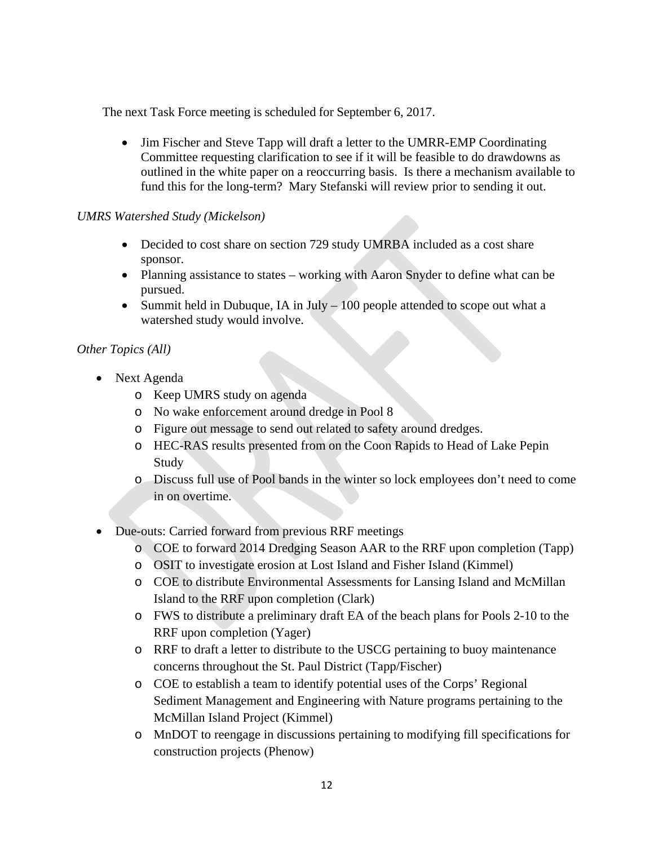The next Task Force meeting is scheduled for September 6, 2017.

• Jim Fischer and Steve Tapp will draft a letter to the UMRR-EMP Coordinating Committee requesting clarification to see if it will be feasible to do drawdowns as outlined in the white paper on a reoccurring basis. Is there a mechanism available to fund this for the long-term? Mary Stefanski will review prior to sending it out.

#### *UMRS Watershed Study (Mickelson)*

- Decided to cost share on section 729 study UMRBA included as a cost share sponsor.
- Planning assistance to states working with Aaron Snyder to define what can be pursued.
- Summit held in Dubuque, IA in July  $-100$  people attended to scope out what a watershed study would involve.

# *Other Topics (All)*

- Next Agenda
	- o Keep UMRS study on agenda
	- o No wake enforcement around dredge in Pool 8
	- o Figure out message to send out related to safety around dredges.
	- o HEC-RAS results presented from on the Coon Rapids to Head of Lake Pepin Study
	- o Discuss full use of Pool bands in the winter so lock employees don't need to come in on overtime.
- Due-outs: Carried forward from previous RRF meetings
	- o COE to forward 2014 Dredging Season AAR to the RRF upon completion (Tapp)
	- o OSIT to investigate erosion at Lost Island and Fisher Island (Kimmel)
	- o COE to distribute Environmental Assessments for Lansing Island and McMillan Island to the RRF upon completion (Clark)
	- o FWS to distribute a preliminary draft EA of the beach plans for Pools 2-10 to the RRF upon completion (Yager)
	- o RRF to draft a letter to distribute to the USCG pertaining to buoy maintenance concerns throughout the St. Paul District (Tapp/Fischer)
	- o COE to establish a team to identify potential uses of the Corps' Regional Sediment Management and Engineering with Nature programs pertaining to the McMillan Island Project (Kimmel)
	- o MnDOT to reengage in discussions pertaining to modifying fill specifications for construction projects (Phenow)